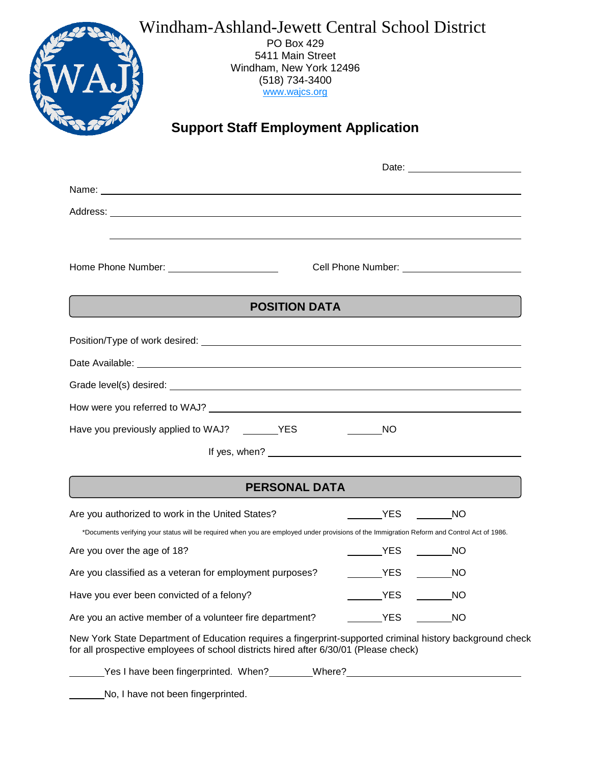# Windham-Ashland-Jewett Central School District PO Box 429 5411 Main Street Windham, New York 12496 (518) 734-3400 [www.wajcs.org](http://www.wajcs.org/)

# **Support Staff Employment Application**

| <b>POSITION DATA</b>                                                                                                                                                                              |                                                                                  |  |  |  |  |
|---------------------------------------------------------------------------------------------------------------------------------------------------------------------------------------------------|----------------------------------------------------------------------------------|--|--|--|--|
|                                                                                                                                                                                                   |                                                                                  |  |  |  |  |
|                                                                                                                                                                                                   |                                                                                  |  |  |  |  |
|                                                                                                                                                                                                   |                                                                                  |  |  |  |  |
|                                                                                                                                                                                                   |                                                                                  |  |  |  |  |
|                                                                                                                                                                                                   |                                                                                  |  |  |  |  |
| Have you previously applied to WAJ? _________ YES                                                                                                                                                 | <b>NO</b>                                                                        |  |  |  |  |
|                                                                                                                                                                                                   |                                                                                  |  |  |  |  |
|                                                                                                                                                                                                   |                                                                                  |  |  |  |  |
| <b>PERSONAL DATA</b>                                                                                                                                                                              |                                                                                  |  |  |  |  |
| Are you authorized to work in the United States?                                                                                                                                                  | <b>EXAMPLE</b><br><b>NO</b>                                                      |  |  |  |  |
| *Documents verifying your status will be required when you are employed under provisions of the Immigration Reform and Control Act of 1986.                                                       |                                                                                  |  |  |  |  |
| Are you over the age of 18?                                                                                                                                                                       | <b>YES</b><br>NO.                                                                |  |  |  |  |
| Are you classified as a veteran for employment purposes?                                                                                                                                          | _____________YES<br>NO                                                           |  |  |  |  |
| Have you ever been convicted of a felony?                                                                                                                                                         | _YES_<br>N                                                                       |  |  |  |  |
| Are you an active member of a volunteer fire department?                                                                                                                                          | ___________YES<br><b>NO</b>                                                      |  |  |  |  |
| New York State Department of Education requires a fingerprint-supported criminal history background check<br>for all prospective employees of school districts hired after 6/30/01 (Please check) |                                                                                  |  |  |  |  |
|                                                                                                                                                                                                   | Yes I have been fingerprinted. When?________Where?______________________________ |  |  |  |  |

No, I have not been fingerprinted.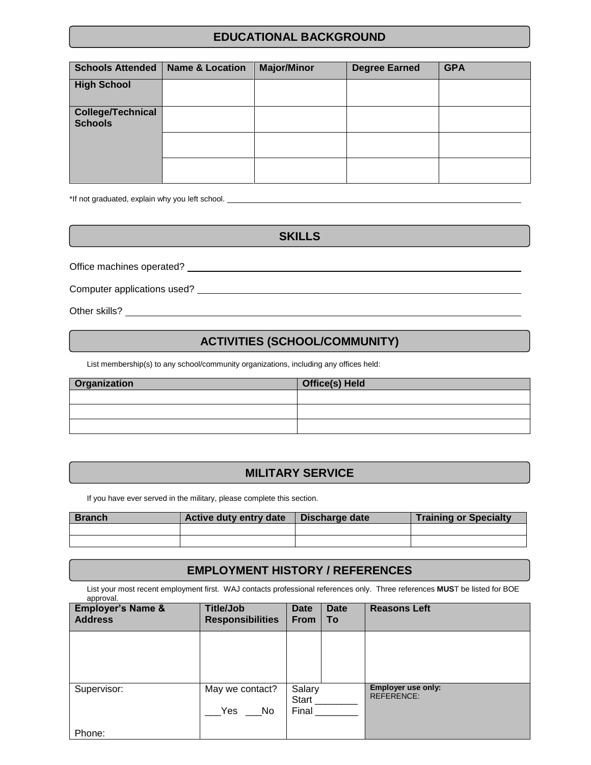### **EDUCATIONAL BACKGROUND**

| <b>Schools Attended</b>                    | <b>Name &amp; Location</b> | <b>Major/Minor</b> | <b>Degree Earned</b> | <b>GPA</b> |
|--------------------------------------------|----------------------------|--------------------|----------------------|------------|
| <b>High School</b>                         |                            |                    |                      |            |
| <b>College/Technical</b><br><b>Schools</b> |                            |                    |                      |            |
|                                            |                            |                    |                      |            |
|                                            |                            |                    |                      |            |

\*If not graduated, explain why you left school.

**SKILLS**

Office machines operated?

Computer applications used?

Other skills?

#### **ACTIVITIES (SCHOOL/COMMUNITY)**

List membership(s) to any school/community organizations, including any offices held:

| <b>Organization</b> | Office(s) Held |  |  |
|---------------------|----------------|--|--|
|                     |                |  |  |
|                     |                |  |  |
|                     |                |  |  |

#### **MILITARY SERVICE**

If you have ever served in the military, please complete this section.

| <b>Branch</b> | Active duty entry date | Discharge date | <b>Training or Specialty</b> |
|---------------|------------------------|----------------|------------------------------|
|               |                        |                |                              |
|               |                        |                |                              |

#### **EMPLOYMENT HISTORY / REFERENCES**

List your most recent employment first. WAJ contacts professional references only. Three references **MUS**T be listed for BOE approval.

| <b>Employer's Name &amp;</b><br><b>Address</b> | <b>Title/Job</b><br><b>Responsibilities</b> | Date<br><b>From</b> | <b>Date</b><br>To | <b>Reasons Left</b>                     |
|------------------------------------------------|---------------------------------------------|---------------------|-------------------|-----------------------------------------|
|                                                |                                             |                     |                   |                                         |
|                                                |                                             |                     |                   |                                         |
| Supervisor:                                    | May we contact?                             | Salary<br>Start     |                   | Employer use only:<br><b>REFERENCE:</b> |
|                                                | Yes<br>No                                   | Final               |                   |                                         |
| Phone:                                         |                                             |                     |                   |                                         |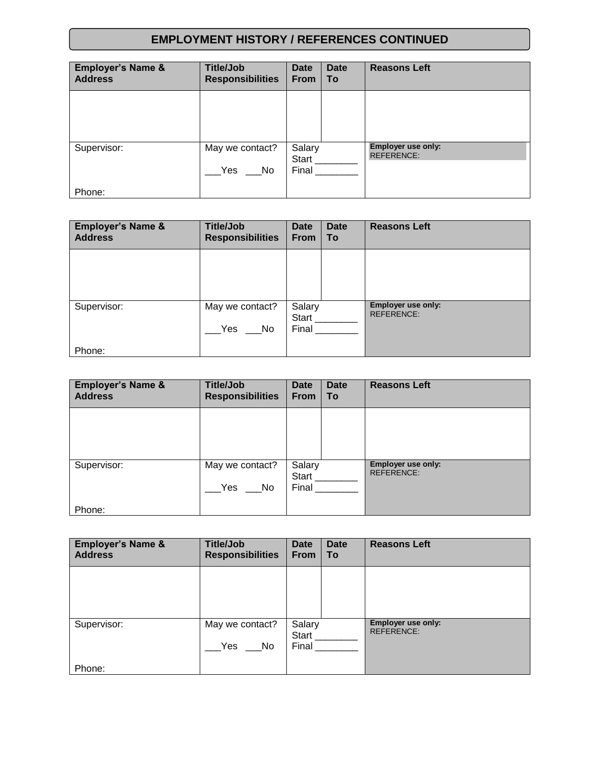## **EMPLOYMENT HISTORY / REFERENCES CONTINUED**

| <b>Employer's Name &amp;</b><br><b>Address</b> | <b>Title/Job</b><br><b>Responsibilities</b> | Date<br><b>From</b> | <b>Date</b><br>To | <b>Reasons Left</b>                            |
|------------------------------------------------|---------------------------------------------|---------------------|-------------------|------------------------------------------------|
|                                                |                                             |                     |                   |                                                |
|                                                |                                             |                     |                   |                                                |
| Supervisor:                                    | May we contact?                             | Salary<br>Start     |                   | <b>Employer use only:</b><br><b>REFERENCE:</b> |
|                                                | Yes<br>No.                                  | Final               |                   |                                                |
| Phone:                                         |                                             |                     |                   |                                                |

| <b>Employer's Name &amp;</b><br><b>Address</b> | <b>Title/Job</b><br><b>Responsibilities</b> | <b>Date</b><br><b>From</b> | <b>Date</b><br><b>To</b> | <b>Reasons Left</b>                     |
|------------------------------------------------|---------------------------------------------|----------------------------|--------------------------|-----------------------------------------|
|                                                |                                             |                            |                          |                                         |
| Supervisor:                                    | May we contact?<br>Yes<br>No                | Salary<br>Start<br>Final   |                          | Employer use only:<br><b>REFERENCE:</b> |
| Phone:                                         |                                             |                            |                          |                                         |

| <b>Employer's Name &amp;</b><br><b>Address</b> | <b>Title/Job</b><br><b>Responsibilities</b> | Date<br><b>From</b>      | <b>Date</b><br>To | <b>Reasons Left</b>                            |
|------------------------------------------------|---------------------------------------------|--------------------------|-------------------|------------------------------------------------|
|                                                |                                             |                          |                   |                                                |
| Supervisor:                                    | May we contact?<br>Yes<br>No.               | Salary<br>Start<br>Final |                   | <b>Employer use only:</b><br><b>REFERENCE:</b> |
| Phone:                                         |                                             |                          |                   |                                                |

| <b>Employer's Name &amp;</b><br><b>Address</b> | <b>Title/Job</b><br><b>Responsibilities</b> | Date<br><b>From</b>      | <b>Date</b><br>To | <b>Reasons Left</b>                     |
|------------------------------------------------|---------------------------------------------|--------------------------|-------------------|-----------------------------------------|
|                                                |                                             |                          |                   |                                         |
| Supervisor:                                    | May we contact?<br>Yes<br>No.               | Salary<br>Start<br>Final |                   | Employer use only:<br><b>REFERENCE:</b> |
| Phone:                                         |                                             |                          |                   |                                         |